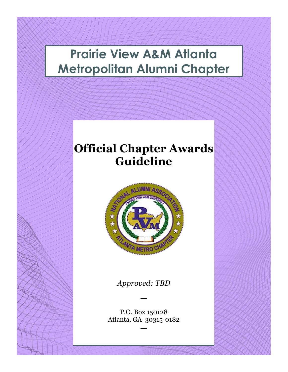# **Prairie View A&M Atlanta Metropolitan Alumni Chapter**

# **Official Chapter Awards Guideline**



*Approved: TBD*

—

P.O. Box 150128 Atlanta, GA 30315-0182

—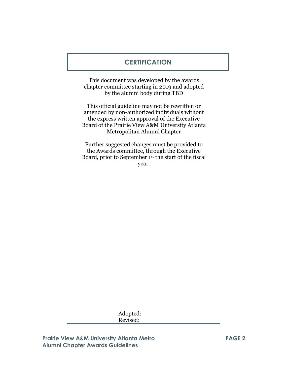#### **CERTIFICATION**

This document was developed by the awards chapter committee starting in 2019 and adopted by the alumni body during TBD

This official guideline may not be rewritten or amended by non-authorized individuals without the express written approval of the Executive Board of the Prairie View A&M University Atlanta Metropolitan Alumni Chapter

Further suggested changes must be provided to the Awards committee, through the Executive Board, prior to September 1st the start of the fiscal year.

> Adopted: Revised:

**Prairie View A&M University Atlanta Metro Alumni Chapter Awards Guidelines**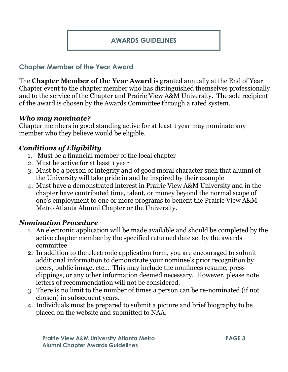#### **AWARDS GUIDELINES**

#### **Chapter Member of the Year Award**

The **Chapter Member of the Year Award** is granted annually at the End of Year Chapter event to the chapter member who has distinguished themselves professionally and to the service of the Chapter and Prairie View A&M University. The sole recipient of the award is chosen by the Awards Committee through a rated system.

#### *Who may nominate?*

Chapter members in good standing active for at least 1 year may nominate any member who they believe would be eligible.

#### *Conditions of Eligibility*

- 1. Must be a financial member of the local chapter
- 2. Must be active for at least 1 year
- 3. Must be a person of integrity and of good moral character such that alumni of the University will take pride in and be inspired by their example
- 4. Must have a demonstrated interest in Prairie View A&M University and in the chapter have contributed time, talent, or money beyond the normal scope of one's employment to one or more programs to benefit the Prairie View A&M Metro Atlanta Alumni Chapter or the University.

#### *Nomination Procedure*

- 1. An electronic application will be made available and should be completed by the active chapter member by the specified returned date set by the awards committee
- 2. In addition to the electronic application form, you are encouraged to submit additional information to demonstrate your nominee's prior recognition by peers, public image, etc… This may include the nominees resume, press clippings, or any other information deemed necessary. However, please note letters of recommendation will not be considered.
- 3. There is no limit to the number of times a person can be re-nominated (if not chosen) in subsequent years.
- 4. Individuals must be prepared to submit a picture and brief biography to be placed on the website and submitted to NAA.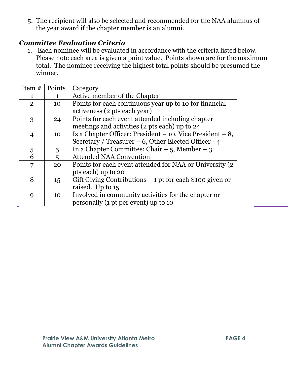5. The recipient will also be selected and recommended for the NAA alumnus of the year award if the chapter member is an alumni.

#### *Committee Evaluation Criteria*

1. Each nominee will be evaluated in accordance with the criteria listed below. Please note each area is given a point value. Points shown are for the maximum total. The nominee receiving the highest total points should be presumed the winner.

| Item #         | Points         | Category                                                      |
|----------------|----------------|---------------------------------------------------------------|
| 1              | 1              | Active member of the Chapter                                  |
| $\overline{2}$ | 10             | Points for each continuous year up to 10 for financial        |
|                |                | activeness (2 pts each year)                                  |
| 3              | 24             | Points for each event attended including chapter              |
|                |                | meetings and activities (2 pts each) up to 24                 |
| 4              | 10             | Is a Chapter Officer: President $-10$ , Vice President $-8$ , |
|                |                | Secretary / Treasurer $-6$ , Other Elected Officer - 4        |
| 5              | 5              | In a Chapter Committee: Chair $-5$ , Member $-3$              |
| 6              | $\overline{5}$ | <b>Attended NAA Convention</b>                                |
| 7              | 20             | Points for each event attended for NAA or University (2)      |
|                |                | pts each) up to 20                                            |
| 8              | 15             | Gift Giving Contributions $-1$ pt for each \$100 given or     |
|                |                | raised. Up to 15                                              |
| 9              | 10             | Involved in community activities for the chapter or           |
|                |                | personally (1 pt per event) up to 10                          |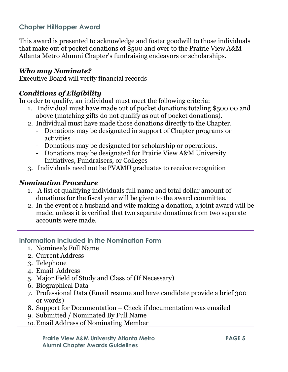## **Chapter Hilltopper Award**

This award is presented to acknowledge and foster goodwill to those individuals that make out of pocket donations of \$500 and over to the Prairie View A&M Atlanta Metro Alumni Chapter's fundraising endeavors or scholarships.

#### *Who may Nominate?*

Executive Board will verify financial records

# *Conditions of Eligibility*

In order to qualify, an individual must meet the following criteria:

- 1. Individual must have made out of pocket donations totaling \$500.00 and above (matching gifts do not qualify as out of pocket donations).
- 2. Individual must have made those donations directly to the Chapter.
	- Donations may be designated in support of Chapter programs or activities
	- Donations may be designated for scholarship or operations.
	- Donations may be designated for Prairie View A&M University Initiatives, Fundraisers, or Colleges
- 3. Individuals need not be PVAMU graduates to receive recognition

# *Nomination Procedure*

- 1. A list of qualifying individuals full name and total dollar amount of donations for the fiscal year will be given to the award committee.
- 2. In the event of a husband and wife making a donation, a joint award will be made, unless it is verified that two separate donations from two separate accounts were made.

### **Information Included in the Nomination Form**

- 1. Nominee's Full Name
- 2. Current Address
- 3. Telephone
- 4. Email Address
- 5. Major Field of Study and Class of (If Necessary)
- 6. Biographical Data
- 7. Professional Data (Email resume and have candidate provide a brief 300 or words)
- 8. Support for Documentation Check if documentation was emailed
- 9. Submitted / Nominated By Full Name
- 10. Email Address of Nominating Member

**Prairie View A&M University Atlanta Metro Alumni Chapter Awards Guidelines**